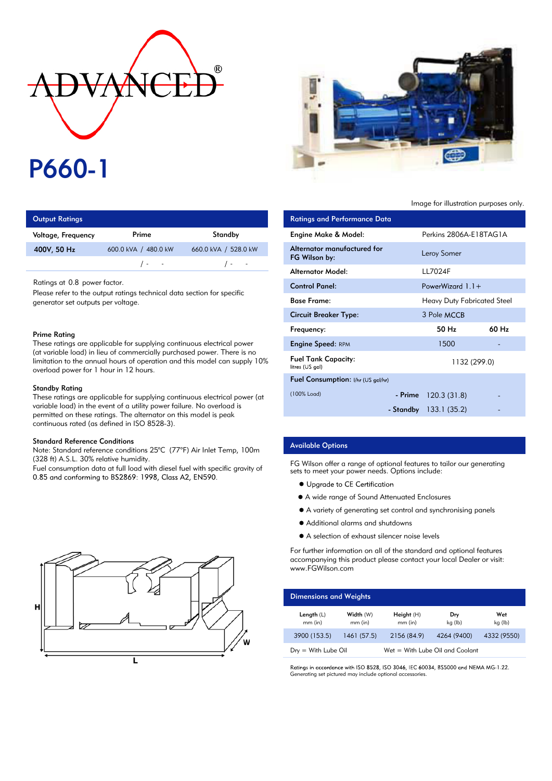# ®

# P660-1

| <b>Output Ratings</b> |                      | <b>Ratings and Performance Data</b> |                             |
|-----------------------|----------------------|-------------------------------------|-----------------------------|
| Voltage, Frequency    | Prime                | Standby                             | Engine Make & Model:        |
| 400V, 50 Hz           | 600.0 kVA / 480.0 kW | 660.0 kVA / 528.0 kW                | Alternator manufactured for |
|                       | $\sqrt{2}$           | $\sqrt{2}$                          | FG Wilson by:               |
|                       |                      |                                     |                             |

Ratings at 0.8 power factor.

Please refer to the output ratings technical data section for specific generator set outputs per voltage.

#### Prime Rating

These ratings are applicable for supplying continuous electrical power (at variable load) in lieu of commercially purchased power. There is no limitation to the annual hours of operation and this model can supply 10% overload power for 1 hour in 12 hours.

#### Standby Rating

These ratings are applicable for supplying continuous electrical power (at variable load) in the event of a utility power failure. No overload is permitted on these ratings. The alternator on this model is peak continuous rated (as defined in ISO 8528-3).

#### Standard Reference Conditions

Note: Standard reference conditions 25°C (77°F) Air Inlet Temp, 100m (328 ft) A.S.L. 30% relative humidity.

Fuel consumption data at full load with diesel fuel with specific gravity of 0.85 and conforming to BS2869: 1998, Class A2, EN590.





### Image for illustration purposes only.

| <b>Ratings and Performance Data</b>           |                                    |                   |
|-----------------------------------------------|------------------------------------|-------------------|
| Engine Make & Model:                          | Perkins 2806A-E18TAG1A             |                   |
| Alternator manufactured for<br>FG Wilson by:  | Leroy Somer                        |                   |
| Alternator Model:                             | 117024F                            |                   |
| <b>Control Panel:</b>                         | PowerWizard $1.1 +$                |                   |
| <b>Base Frame:</b>                            | <b>Heavy Duty Fabricated Steel</b> |                   |
| <b>Circuit Breaker Type:</b>                  | 3 Pole MCCB                        |                   |
| Frequency:                                    | 50 Hz                              | 60 H <sub>z</sub> |
| <b>Engine Speed: RPM</b>                      | 1500                               |                   |
| <b>Fuel Tank Capacity:</b><br>litres (US gal) | 1132 (299.0)                       |                   |
| Fuel Consumption: I/hr (US gal/hr)            |                                    |                   |
| (100% Load)                                   | $-$ Prime 120.3 (31.8)             |                   |
|                                               | - Standby 133.1 (35.2)             |                   |

# Available Options

FG Wilson offer a range of optional features to tailor our generating sets to meet your power needs. Options include:

- Upgrade to CE Certification
- A wide range of Sound Attenuated Enclosures
- A variety of generating set control and synchronising panels
- Additional alarms and shutdowns
- A selection of exhaust silencer noise levels

For further information on all of the standard and optional features accompanying this product please contact your local Dealer or visit: www.FGWilson.com

| <b>Dimensions and Weights</b> |                        |                                   |                |                |
|-------------------------------|------------------------|-----------------------------------|----------------|----------------|
| Length $(L)$<br>$mm$ (in)     | Width (W)<br>$mm$ (in) | Height(H)<br>$mm$ (in)            | Dry<br>kg (lb) | Wet<br>kg (lb) |
| 3900 (153.5)                  | 1461 (57.5)            | 2156 (84.9)                       | 4264 (9400)    | 4332 (9550)    |
| $Dry = With Lube Oil$         |                        | $Wet = With Lube Oil and Coolant$ |                |                |

Ratings in accordance with ISO 8528, ISO 3046, IEC 60034, BS5000 and NEMA MG-1.22. Generating set pictured may include optional accessories.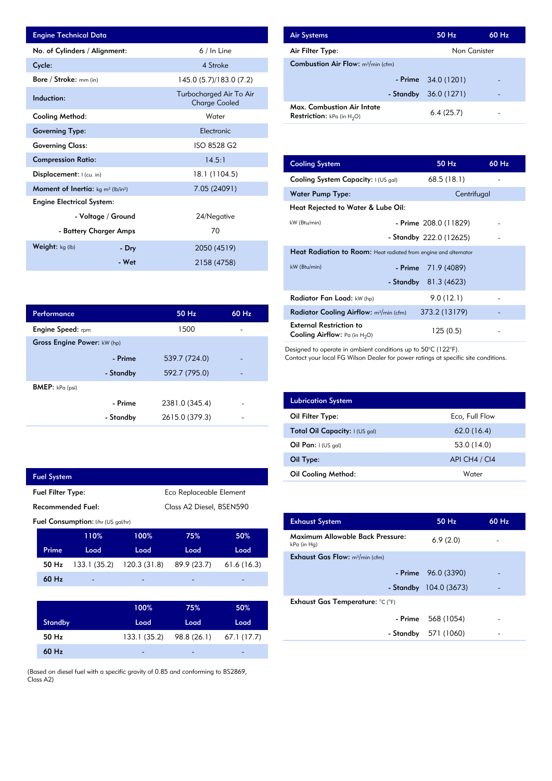| <b>Engine Technical Data</b>                                      |                        |                                                 | <b>Air Systems</b>                                                          |                                                                  | 50 Hz                   | 60 Hz |
|-------------------------------------------------------------------|------------------------|-------------------------------------------------|-----------------------------------------------------------------------------|------------------------------------------------------------------|-------------------------|-------|
| No. of Cylinders / Alignment:                                     |                        | $6/$ In Line                                    | Air Filter Type:                                                            |                                                                  | Non Canister            |       |
| Cycle:                                                            |                        | 4 Stroke                                        | <b>Combustion Air Flow:</b> m <sup>3</sup> /min (cfm)                       |                                                                  |                         |       |
| Bore / Stroke: mm (in)                                            |                        | 145.0 (5.7)/183.0 (7.2)                         |                                                                             | - Prime                                                          | 34.0 (1201)             |       |
| Induction:                                                        |                        | Turbocharged Air To Air<br><b>Charge Cooled</b> |                                                                             | - Standby                                                        | 36.0 (1271)             |       |
| <b>Cooling Method:</b>                                            |                        | Water                                           | <b>Max. Combustion Air Intate</b><br><b>Restriction:</b> $kPa$ (in $H_2O$ ) |                                                                  | 6.4(25.7)               |       |
| <b>Governing Type:</b>                                            |                        | Electronic                                      |                                                                             |                                                                  |                         |       |
| <b>Governing Class:</b>                                           |                        | ISO 8528 G2                                     |                                                                             |                                                                  |                         |       |
| <b>Compression Ratio:</b>                                         |                        | 14.5:1                                          | <b>Cooling System</b>                                                       |                                                                  | 50 Hz                   | 60 Hz |
| Displacement:   (cu. in)                                          |                        | 18.1 (1104.5)                                   | Cooling System Capacity: I (US gal)                                         |                                                                  | 68.5(18.1)              |       |
| <b>Moment of Inertia:</b> kg m <sup>2</sup> (lb/in <sup>2</sup> ) |                        | 7.05 (24091)                                    | <b>Water Pump Type:</b>                                                     |                                                                  | Centrifugal             |       |
| <b>Engine Electrical System:</b>                                  |                        |                                                 | Heat Rejected to Water & Lube Oil:                                          |                                                                  |                         |       |
|                                                                   | - Voltage / Ground     | 24/Negative                                     | kW (Btu/min)                                                                |                                                                  |                         |       |
|                                                                   | - Battery Charger Amps | 70                                              |                                                                             |                                                                  | - Prime 208.0 (11829)   |       |
| Weight: kg (lb)                                                   |                        |                                                 |                                                                             |                                                                  | - Standby 222.0 (12625) |       |
|                                                                   | - Dry                  | 2050 (4519)                                     |                                                                             | Heat Radiation to Room: Heat radiated from engine and alternator |                         |       |
|                                                                   | - Wet                  | 2158 (4758)                                     | kW (Btu/min)                                                                |                                                                  | $-$ Prime 71 9 (4089)   |       |

| <b>Air Systems</b>                                                        | 50 Hz                | 60 Hz |
|---------------------------------------------------------------------------|----------------------|-------|
| Air Filter Type:                                                          | Non Canister         |       |
| <b>Combustion Air Flow:</b> $m^3/m$ in (cfm)                              |                      |       |
|                                                                           | - Prime $34.0(1201)$ |       |
| - Standby                                                                 | 36.0 (1271)          |       |
| <b>Max. Combustion Air Intate</b><br><b>Restriction:</b> kPa (in $H_2O$ ) | 6.4(25.7)            |       |

| 14.5:1         | <b>Cooling System</b>                                                     | 50 Hz                   | 60 Hz |
|----------------|---------------------------------------------------------------------------|-------------------------|-------|
| 18.1 (1104.5)  | Cooling System Capacity: I (US gal)                                       | 68.5(18.1)              |       |
| 7.05 (24091)   | Water Pump Type:                                                          | Centrifugal             |       |
|                | Heat Rejected to Water & Lube Oil:                                        |                         |       |
| 24/Negative    | kW (Btu/min)                                                              | - Prime $208.0(11829)$  |       |
| 70             |                                                                           | - Standby 222.0 (12625) |       |
| 2050 (4519)    | Heat Radiation to Room: Heat radiated from engine and alternator          |                         |       |
| 2158 (4758)    | kW (Btu/min)<br>- Prime                                                   | 71.9 (4089)             |       |
|                | - Standby                                                                 | 81.3 (4623)             |       |
|                | Radiator Fan Load: kW (hp)                                                | 9.0(12.1)               |       |
| 50 Hz<br>60 Hz | Radiator Cooling Airflow: m <sup>3</sup> /min (cfm)                       | 373.2 (13179)           |       |
| 1500           | <b>External Restriction to</b><br><b>Cooling Airflow:</b> Pa (in $H_2O$ ) | 125(0.5)                |       |

Designed to operate in ambient conditions up to 50°C (122°F).

Contact your local FG Wilson Dealer for power ratings at specific site conditions.

| <b>Lubrication System</b>      |                |
|--------------------------------|----------------|
| Oil Filter Type:               | Eco, Full Flow |
| Total Oil Capacity: I (US gal) | 62.0(16.4)     |
| Oil Pan: $1(US gal)$           | 53.0 (14.0)    |
| Oil Type:                      | API CH4 / CI4  |
| Oil Cooling Method:            | Water          |

| <b>Exhaust System</b>                           | 50 Hz                  | $60$ Hz |
|-------------------------------------------------|------------------------|---------|
| Maximum Allowable Back Pressure:<br>kPa (in Hg) | 6.9(2.0)               |         |
| <b>Exhaust Gas Flow:</b> $m^3/m$ in (cfm)       |                        |         |
|                                                 | $-$ Prime $96.0(3390)$ |         |
|                                                 | - Standby 104.0 (3673) |         |
| Exhaust Gas Temperature: °C (°F)                |                        |         |
| - Prime                                         | 568 (1054)             |         |
|                                                 | - Standby 571 (1060)   |         |
|                                                 |                        |         |

| Performance                 |           | $50$ Hz        | 60 Hz |
|-----------------------------|-----------|----------------|-------|
| <b>Engine Speed:</b> rpm    |           | 1500           |       |
| Gross Engine Power: kW (hp) |           |                |       |
|                             | - Prime   | 539.7 (724.0)  |       |
|                             | - Standby | 592.7 (795.0)  |       |
| <b>BMEP:</b> $kPa$ (psi)    |           |                |       |
|                             | - Prime   | 2381.0 (345.4) |       |
|                             | - Standby | 2615.0 (379.3) |       |

|                                               | <b>Fuel System</b>                                  |                                           |              |             |             |
|-----------------------------------------------|-----------------------------------------------------|-------------------------------------------|--------------|-------------|-------------|
|                                               | <b>Fuel Filter Type:</b><br>Eco Replaceable Element |                                           |              |             |             |
| Recommended Fuel:<br>Class A2 Diesel, BSEN590 |                                                     |                                           |              |             |             |
|                                               |                                                     | <b>Fuel Consumption:</b> I/hr (US gal/hr) |              |             |             |
|                                               |                                                     | 110%                                      | 100%         | 75%         | 50%         |
|                                               | Prime                                               | Load                                      | Load         | Load        | Load        |
|                                               | 50 Hz                                               | 133.1 (35.2)                              | 120.3(31.8)  | 89.9 (23.7) | 61.6(16.3)  |
|                                               | $60$ Hz                                             |                                           |              |             |             |
|                                               |                                                     |                                           |              |             |             |
|                                               |                                                     |                                           | 100%         | 75%         | 50%         |
|                                               | <b>Standby</b>                                      |                                           | Load         | Load        | Load        |
|                                               | 50 Hz                                               |                                           | 133.1 (35.2) | 98.8 (26.1) | 67.1 (17.7) |
|                                               | 60 Hz                                               |                                           |              |             |             |

(Based on diesel fuel with a specific gravity of 0.85 and conforming to BS2869, Class A2)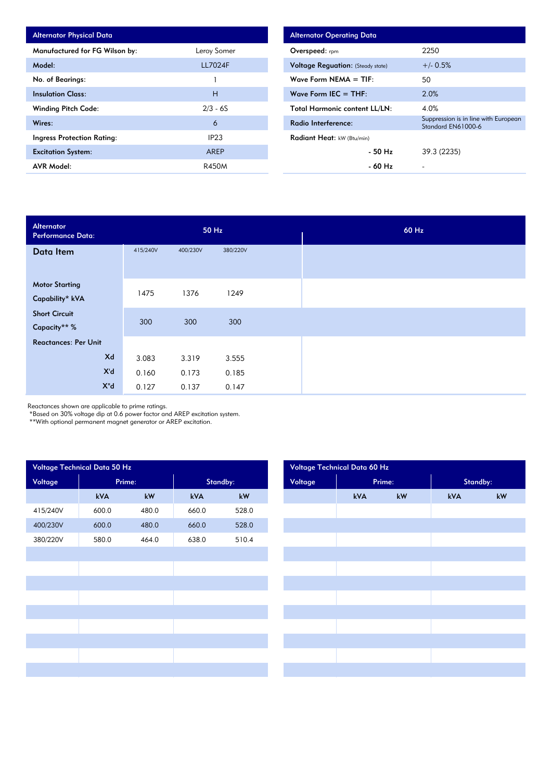| <b>Alternator Physical Data</b> |                |
|---------------------------------|----------------|
| Manufactured for FG Wilson by:  | Leroy Somer    |
| Model:                          | <b>LL7024F</b> |
| No. of Bearings:                |                |
| <b>Insulation Class:</b>        | н              |
| <b>Winding Pitch Code:</b>      | $2/3 - 6S$     |
| Wires:                          | 6              |
| Ingress Protection Rating:      | IP23           |
| <b>Excitation System:</b>       | AREP           |
| <b>AVR Model:</b>               | R450M          |

| <b>Alternator Operating Data</b>         |                                                            |
|------------------------------------------|------------------------------------------------------------|
| <b>Overspeed:</b> rpm                    | 2250                                                       |
| <b>Voltage Requation: (Steady state)</b> | $+/- 0.5%$                                                 |
| Wave Form NEMA $= TIF$ :                 | 50                                                         |
| Wave Form IEC $=$ THE:                   | 2.0%                                                       |
| <b>Total Harmonic content LL/LN:</b>     | 4.0%                                                       |
| Radio Interference:                      | Suppression is in line with European<br>Standard EN61000-6 |
| Radiant Heat: kW (Btu/min)               |                                                            |
| - 50 Hz                                  | 39.3 (2235)                                                |
| - 60 Hz                                  |                                                            |

| Alternator<br>Performance Data: | 50 Hz    |          |          |  |
|---------------------------------|----------|----------|----------|--|
| Data Item                       | 415/240V | 400/230V | 380/220V |  |
|                                 |          |          |          |  |
| <b>Motor Starting</b>           | 1475     | 1376     | 1249     |  |
| Capability* kVA                 |          |          |          |  |
| <b>Short Circuit</b>            |          |          |          |  |
| Capacity** %                    | 300      | 300      | 300      |  |
| <b>Reactances: Per Unit</b>     |          |          |          |  |
| Xd                              | 3.083    | 3.319    | 3.555    |  |
| X'd                             | 0.160    | 0.173    | 0.185    |  |
| $X^{\prime\prime}$ d            | 0.127    | 0.137    | 0.147    |  |

Reactances shown are applicable to prime ratings.

\*Based on 30% voltage dip at 0.6 power factor and AREP excitation system.

\*\*With optional permanent magnet generator or AREP excitation.

| Voltage Technical Data 50 Hz |        |       |          |       | Voltage Technical Data 60 Hz |        |    |          |  |  |  |
|------------------------------|--------|-------|----------|-------|------------------------------|--------|----|----------|--|--|--|
| Voltage                      | Prime: |       | Standby: |       | Voltage                      | Prime: |    | Standby: |  |  |  |
|                              | kVA    | kW    | kVA      | kW    |                              | kVA    | kW | kVA      |  |  |  |
| 415/240V                     | 600.0  | 480.0 | 660.0    | 528.0 |                              |        |    |          |  |  |  |
| 400/230V                     | 600.0  | 480.0 | 660.0    | 528.0 |                              |        |    |          |  |  |  |
| 380/220V                     | 580.0  | 464.0 | 638.0    | 510.4 |                              |        |    |          |  |  |  |
|                              |        |       |          |       |                              |        |    |          |  |  |  |
|                              |        |       |          |       |                              |        |    |          |  |  |  |
|                              |        |       |          |       |                              |        |    |          |  |  |  |
|                              |        |       |          |       |                              |        |    |          |  |  |  |
|                              |        |       |          |       |                              |        |    |          |  |  |  |
|                              |        |       |          |       |                              |        |    |          |  |  |  |
|                              |        |       |          |       |                              |        |    |          |  |  |  |
|                              |        |       |          |       |                              |        |    |          |  |  |  |
|                              |        |       |          |       |                              |        |    |          |  |  |  |